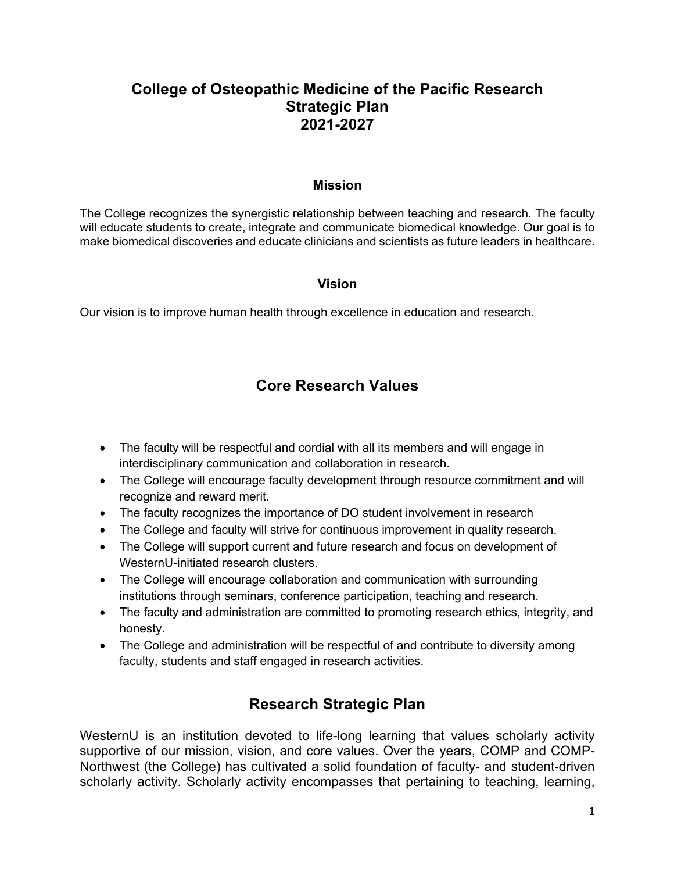## **College of Osteopathic Medicine of the Pacific Research Strategic Plan 2021-2027**

## **Mission**

The College recognizes the synergistic relationship between teaching and research. The faculty will educate students to create, integrate and communicate biomedical knowledge. Our goal is to make biomedical discoveries and educate clinicians and scientists as future leaders in healthcare.

## **Vision**

Our vision is to improve human health through excellence in education and research.

## **Core Research Values**

- The faculty will be respectful and cordial with all its members and will engage in interdisciplinary communication and collaboration in research.
- The College will encourage faculty development through resource commitment and will recognize and reward merit.
- The faculty recognizes the importance of DO student involvement in research
- The College and faculty will strive for continuous improvement in quality research.
- The College will support current and future research and focus on development of WesternU-initiated research clusters.
- The College will encourage collaboration and communication with surrounding institutions through seminars, conference participation, teaching and research.
- The faculty and administration are committed to promoting research ethics, integrity, and honesty.
- The College and administration will be respectful of and contribute to diversity among faculty, students and staff engaged in research activities.

# **Research Strategic Plan**

WesternU is an institution devoted to life-long learning that values scholarly activity supportive of our mission, vision, and core values. Over the years, COMP and COMP-Northwest (the College) has cultivated a solid foundation of faculty- and student-driven scholarly activity. Scholarly activity encompasses that pertaining to teaching, learning,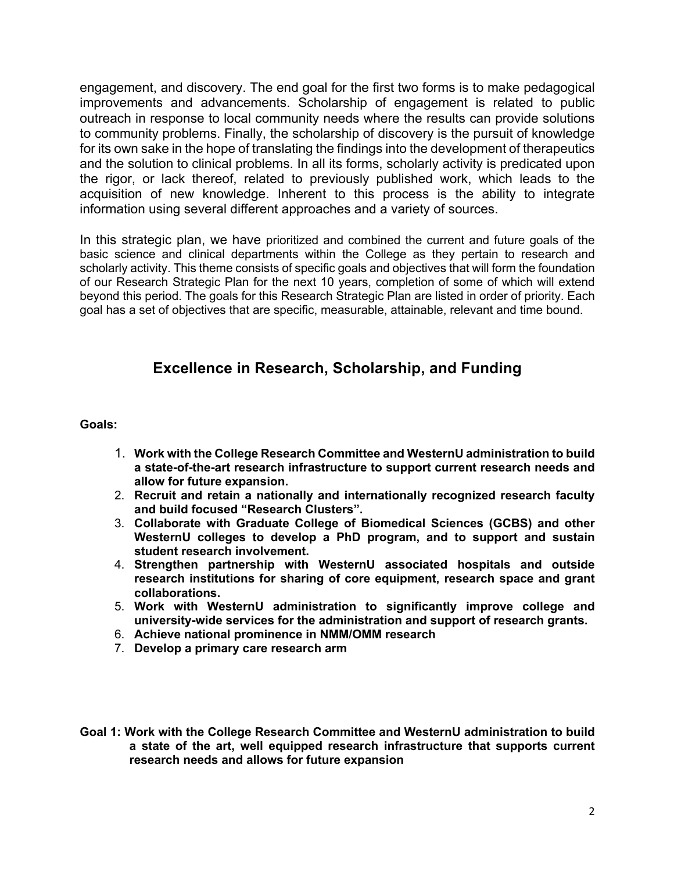engagement, and discovery. The end goal for the first two forms is to make pedagogical improvements and advancements. Scholarship of engagement is related to public outreach in response to local community needs where the results can provide solutions to community problems. Finally, the scholarship of discovery is the pursuit of knowledge for its own sake in the hope of translating the findings into the development of therapeutics and the solution to clinical problems. In all its forms, scholarly activity is predicated upon the rigor, or lack thereof, related to previously published work, which leads to the acquisition of new knowledge. Inherent to this process is the ability to integrate information using several different approaches and a variety of sources.

In this strategic plan, we have prioritized and combined the current and future goals of the basic science and clinical departments within the College as they pertain to research and scholarly activity. This theme consists of specific goals and objectives that will form the foundation of our Research Strategic Plan for the next 10 years, completion of some of which will extend beyond this period. The goals for this Research Strategic Plan are listed in order of priority. Each goal has a set of objectives that are specific, measurable, attainable, relevant and time bound.

## **Excellence in Research, Scholarship, and Funding**

**Goals:**

- 1. **Work with the College Research Committee and WesternU administration to build a state-of-the-art research infrastructure to support current research needs and allow for future expansion.**
- 2. **Recruit and retain a nationally and internationally recognized research faculty and build focused "Research Clusters".**
- 3. **Collaborate with Graduate College of Biomedical Sciences (GCBS) and other WesternU colleges to develop a PhD program, and to support and sustain student research involvement.**
- 4. **Strengthen partnership with WesternU associated hospitals and outside research institutions for sharing of core equipment, research space and grant collaborations.**
- 5. **Work with WesternU administration to significantly improve college and university-wide services for the administration and support of research grants.**
- 6. **Achieve national prominence in NMM/OMM research**
- 7. **Develop a primary care research arm**
- **Goal 1: Work with the College Research Committee and WesternU administration to build a state of the art, well equipped research infrastructure that supports current research needs and allows for future expansion**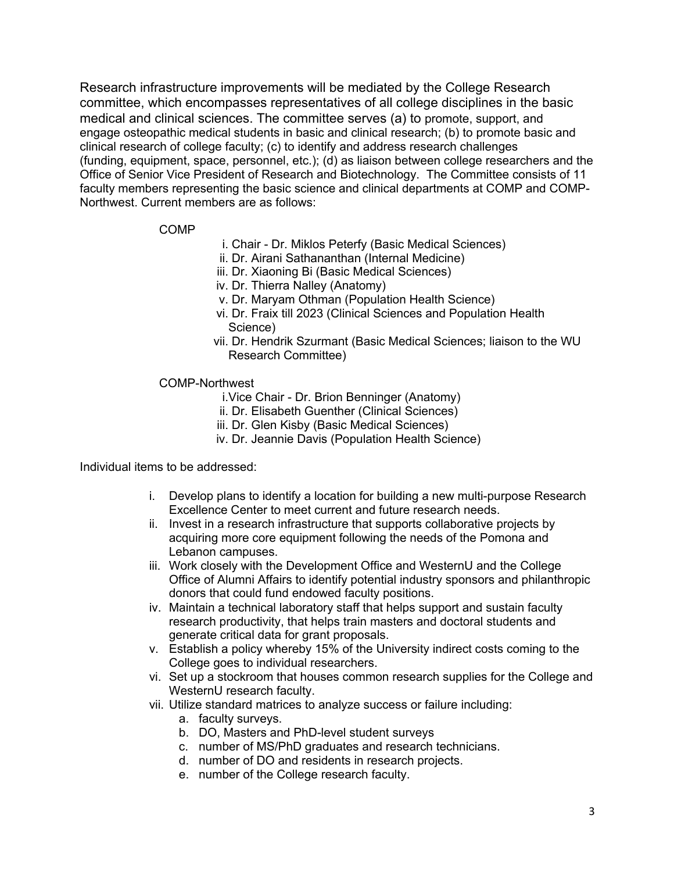Research infrastructure improvements will be mediated by the College Research committee, which encompasses representatives of all college disciplines in the basic medical and clinical sciences. The committee serves (a) to promote, support, and engage osteopathic medical students in basic and clinical research; (b) to promote basic and clinical research of college faculty; (c) to identify and address research challenges (funding, equipment, space, personnel, etc.); (d) as liaison between college researchers and the Office of Senior Vice President of Research and Biotechnology. The Committee consists of 11 faculty members representing the basic science and clinical departments at COMP and COMP-Northwest. Current members are as follows:

#### COMP

- i. Chair Dr. Miklos Peterfy (Basic Medical Sciences)
- ii. Dr. Airani Sathananthan (Internal Medicine)
- iii. Dr. Xiaoning Bi (Basic Medical Sciences)
- iv. Dr. Thierra Nalley (Anatomy)
- v. Dr. Maryam Othman (Population Health Science)
- vi. Dr. Fraix till 2023 (Clinical Sciences and Population Health Science)
- vii. Dr. Hendrik Szurmant (Basic Medical Sciences; liaison to the WU Research Committee)

#### COMP-Northwest

- i.Vice Chair Dr. Brion Benninger (Anatomy)
- ii. Dr. Elisabeth Guenther (Clinical Sciences)
- iii. Dr. Glen Kisby (Basic Medical Sciences)
- iv. Dr. Jeannie Davis (Population Health Science)

Individual items to be addressed:

- i. Develop plans to identify a location for building a new multi-purpose Research Excellence Center to meet current and future research needs.
- ii. Invest in a research infrastructure that supports collaborative projects by acquiring more core equipment following the needs of the Pomona and Lebanon campuses.
- iii. Work closely with the Development Office and WesternU and the College Office of Alumni Affairs to identify potential industry sponsors and philanthropic donors that could fund endowed faculty positions.
- iv. Maintain a technical laboratory staff that helps support and sustain faculty research productivity, that helps train masters and doctoral students and generate critical data for grant proposals.
- v. Establish a policy whereby 15% of the University indirect costs coming to the College goes to individual researchers.
- vi. Set up a stockroom that houses common research supplies for the College and WesternU research faculty.
- vii. Utilize standard matrices to analyze success or failure including:
	- a. faculty surveys.
	- b. DO, Masters and PhD-level student surveys
	- c. number of MS/PhD graduates and research technicians.
	- d. number of DO and residents in research projects.
	- e. number of the College research faculty.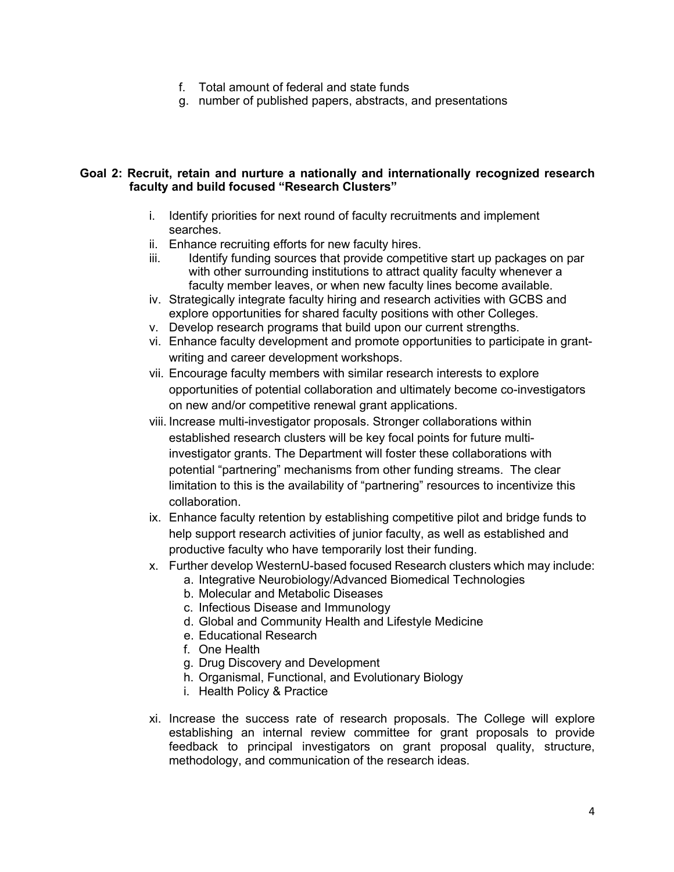- f. Total amount of federal and state funds
- g. number of published papers, abstracts, and presentations

#### **Goal 2: Recruit, retain and nurture a nationally and internationally recognized research faculty and build focused "Research Clusters"**

- i. Identify priorities for next round of faculty recruitments and implement searches.
- ii. Enhance recruiting efforts for new faculty hires.
- iii. Identify funding sources that provide competitive start up packages on par with other surrounding institutions to attract quality faculty whenever a faculty member leaves, or when new faculty lines become available.
- iv. Strategically integrate faculty hiring and research activities with GCBS and explore opportunities for shared faculty positions with other Colleges.
- v. Develop research programs that build upon our current strengths.
- vi. Enhance faculty development and promote opportunities to participate in grantwriting and career development workshops.
- vii. Encourage faculty members with similar research interests to explore opportunities of potential collaboration and ultimately become co-investigators on new and/or competitive renewal grant applications.
- viii. Increase multi-investigator proposals. Stronger collaborations within established research clusters will be key focal points for future multiinvestigator grants. The Department will foster these collaborations with potential "partnering" mechanisms from other funding streams. The clear limitation to this is the availability of "partnering" resources to incentivize this collaboration.
- ix. Enhance faculty retention by establishing competitive pilot and bridge funds to help support research activities of junior faculty, as well as established and productive faculty who have temporarily lost their funding.
- x. Further develop WesternU-based focused Research clusters which may include:
	- a. Integrative Neurobiology/Advanced Biomedical Technologies
	- b. Molecular and Metabolic Diseases
	- c. Infectious Disease and Immunology
	- d. Global and Community Health and Lifestyle Medicine
	- e. Educational Research
	- f. One Health
	- g. Drug Discovery and Development
	- h. Organismal, Functional, and Evolutionary Biology
	- i. Health Policy & Practice
- xi. Increase the success rate of research proposals. The College will explore establishing an internal review committee for grant proposals to provide feedback to principal investigators on grant proposal quality, structure, methodology, and communication of the research ideas.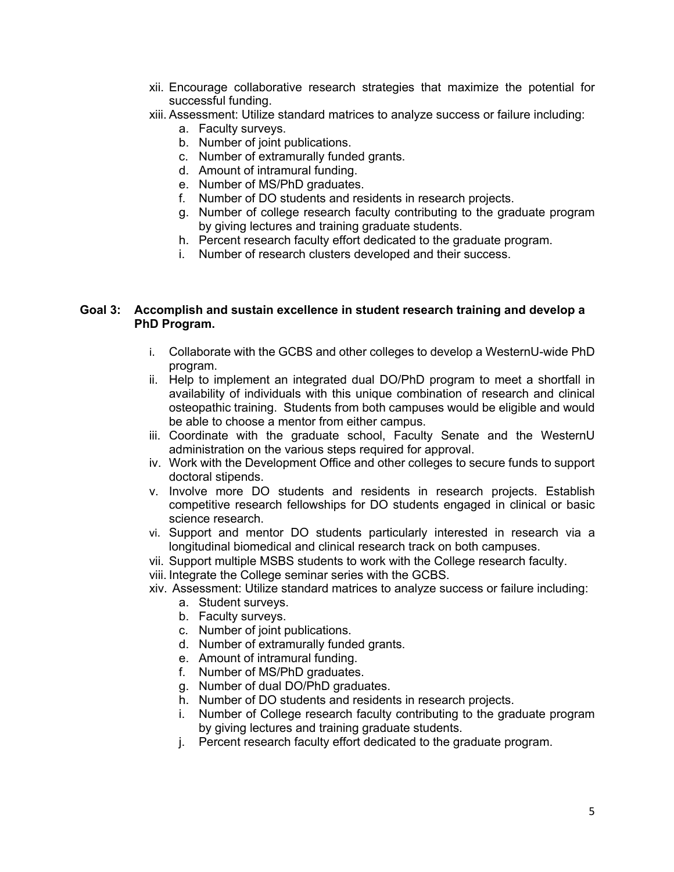- xii. Encourage collaborative research strategies that maximize the potential for successful funding.
- xiii. Assessment: Utilize standard matrices to analyze success or failure including:
	- a. Faculty surveys.
	- b. Number of joint publications.
	- c. Number of extramurally funded grants.
	- d. Amount of intramural funding.
	- e. Number of MS/PhD graduates.
	- f. Number of DO students and residents in research projects.
	- g. Number of college research faculty contributing to the graduate program by giving lectures and training graduate students.
	- h. Percent research faculty effort dedicated to the graduate program.
	- i. Number of research clusters developed and their success.

#### **Goal 3: Accomplish and sustain excellence in student research training and develop a PhD Program.**

- i. Collaborate with the GCBS and other colleges to develop a WesternU-wide PhD program.
- ii. Help to implement an integrated dual DO/PhD program to meet a shortfall in availability of individuals with this unique combination of research and clinical osteopathic training. Students from both campuses would be eligible and would be able to choose a mentor from either campus.
- iii. Coordinate with the graduate school, Faculty Senate and the WesternU administration on the various steps required for approval.
- iv. Work with the Development Office and other colleges to secure funds to support doctoral stipends.
- v. Involve more DO students and residents in research projects. Establish competitive research fellowships for DO students engaged in clinical or basic science research.
- vi. Support and mentor DO students particularly interested in research via a longitudinal biomedical and clinical research track on both campuses.
- vii. Support multiple MSBS students to work with the College research faculty.
- viii. Integrate the College seminar series with the GCBS.
- xiv. Assessment: Utilize standard matrices to analyze success or failure including:
	- a. Student surveys.
	- b. Faculty surveys.
	- c. Number of joint publications.
	- d. Number of extramurally funded grants.
	- e. Amount of intramural funding.
	- f. Number of MS/PhD graduates.
	- g. Number of dual DO/PhD graduates.
	- h. Number of DO students and residents in research projects.
	- i. Number of College research faculty contributing to the graduate program by giving lectures and training graduate students.
	- j. Percent research faculty effort dedicated to the graduate program.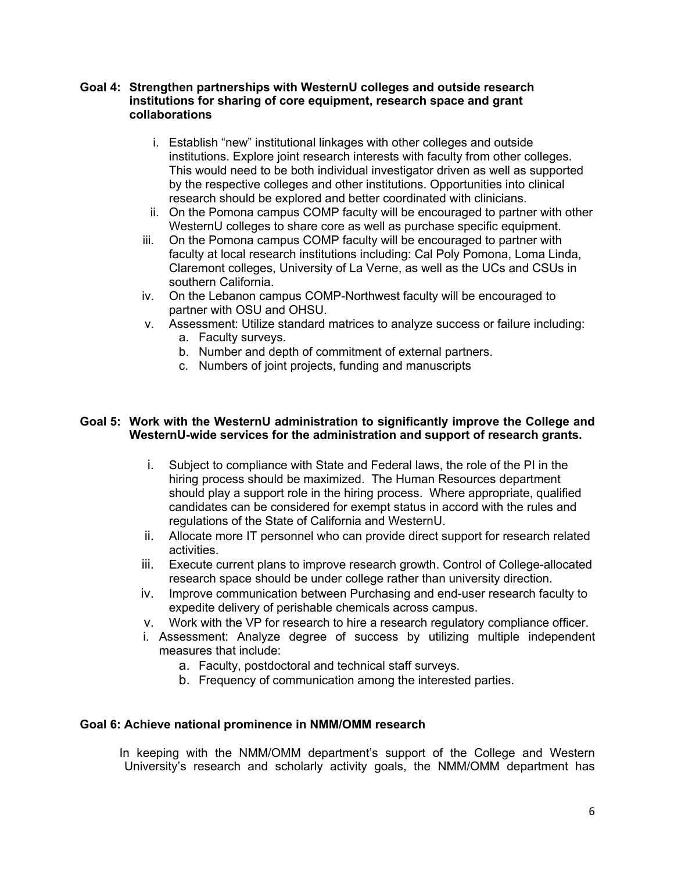#### **Goal 4: Strengthen partnerships with WesternU colleges and outside research institutions for sharing of core equipment, research space and grant collaborations**

- i. Establish "new" institutional linkages with other colleges and outside institutions. Explore joint research interests with faculty from other colleges. This would need to be both individual investigator driven as well as supported by the respective colleges and other institutions. Opportunities into clinical research should be explored and better coordinated with clinicians.
- ii. On the Pomona campus COMP faculty will be encouraged to partner with other WesternU colleges to share core as well as purchase specific equipment.
- iii. On the Pomona campus COMP faculty will be encouraged to partner with faculty at local research institutions including: Cal Poly Pomona, Loma Linda, Claremont colleges, University of La Verne, as well as the UCs and CSUs in southern California.
- iv. On the Lebanon campus COMP-Northwest faculty will be encouraged to partner with OSU and OHSU.
- v. Assessment: Utilize standard matrices to analyze success or failure including: a. Faculty surveys.
	- b. Number and depth of commitment of external partners.
	- c. Numbers of joint projects, funding and manuscripts

## **Goal 5: Work with the WesternU administration to significantly improve the College and WesternU-wide services for the administration and support of research grants.**

- i. Subject to compliance with State and Federal laws, the role of the PI in the hiring process should be maximized. The Human Resources department should play a support role in the hiring process. Where appropriate, qualified candidates can be considered for exempt status in accord with the rules and regulations of the State of California and WesternU.
- ii. Allocate more IT personnel who can provide direct support for research related activities.
- iii. Execute current plans to improve research growth. Control of College-allocated research space should be under college rather than university direction.
- iv. Improve communication between Purchasing and end-user research faculty to expedite delivery of perishable chemicals across campus.
- v. Work with the VP for research to hire a research regulatory compliance officer.
- i. Assessment: Analyze degree of success by utilizing multiple independent measures that include:
	- a. Faculty, postdoctoral and technical staff surveys.
	- b. Frequency of communication among the interested parties.

#### **Goal 6: Achieve national prominence in NMM/OMM research**

In keeping with the NMM/OMM department's support of the College and Western University's research and scholarly activity goals, the NMM/OMM department has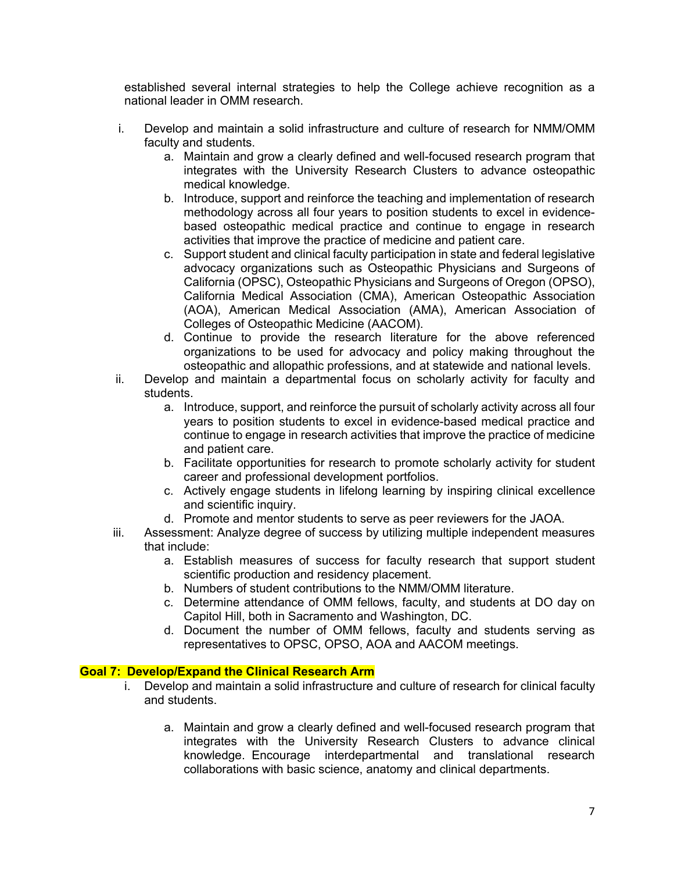established several internal strategies to help the College achieve recognition as a national leader in OMM research.

- i. Develop and maintain a solid infrastructure and culture of research for NMM/OMM faculty and students.
	- a. Maintain and grow a clearly defined and well-focused research program that integrates with the University Research Clusters to advance osteopathic medical knowledge.
	- b. Introduce, support and reinforce the teaching and implementation of research methodology across all four years to position students to excel in evidencebased osteopathic medical practice and continue to engage in research activities that improve the practice of medicine and patient care.
	- c. Support student and clinical faculty participation in state and federal legislative advocacy organizations such as Osteopathic Physicians and Surgeons of California (OPSC), Osteopathic Physicians and Surgeons of Oregon (OPSO), California Medical Association (CMA), American Osteopathic Association (AOA), American Medical Association (AMA), American Association of Colleges of Osteopathic Medicine (AACOM).
	- d. Continue to provide the research literature for the above referenced organizations to be used for advocacy and policy making throughout the osteopathic and allopathic professions, and at statewide and national levels.
- ii. Develop and maintain a departmental focus on scholarly activity for faculty and students.
	- a. Introduce, support, and reinforce the pursuit of scholarly activity across all four years to position students to excel in evidence-based medical practice and continue to engage in research activities that improve the practice of medicine and patient care.
	- b. Facilitate opportunities for research to promote scholarly activity for student career and professional development portfolios.
	- c. Actively engage students in lifelong learning by inspiring clinical excellence and scientific inquiry.
	- d. Promote and mentor students to serve as peer reviewers for the JAOA.
- iii. Assessment: Analyze degree of success by utilizing multiple independent measures that include:
	- a. Establish measures of success for faculty research that support student scientific production and residency placement.
	- b. Numbers of student contributions to the NMM/OMM literature.
	- c. Determine attendance of OMM fellows, faculty, and students at DO day on Capitol Hill, both in Sacramento and Washington, DC.
	- d. Document the number of OMM fellows, faculty and students serving as representatives to OPSC, OPSO, AOA and AACOM meetings.

## **Goal 7: Develop/Expand the Clinical Research Arm**

- i. Develop and maintain a solid infrastructure and culture of research for clinical faculty and students.
	- a. Maintain and grow a clearly defined and well-focused research program that integrates with the University Research Clusters to advance clinical knowledge. Encourage interdepartmental and translational research collaborations with basic science, anatomy and clinical departments.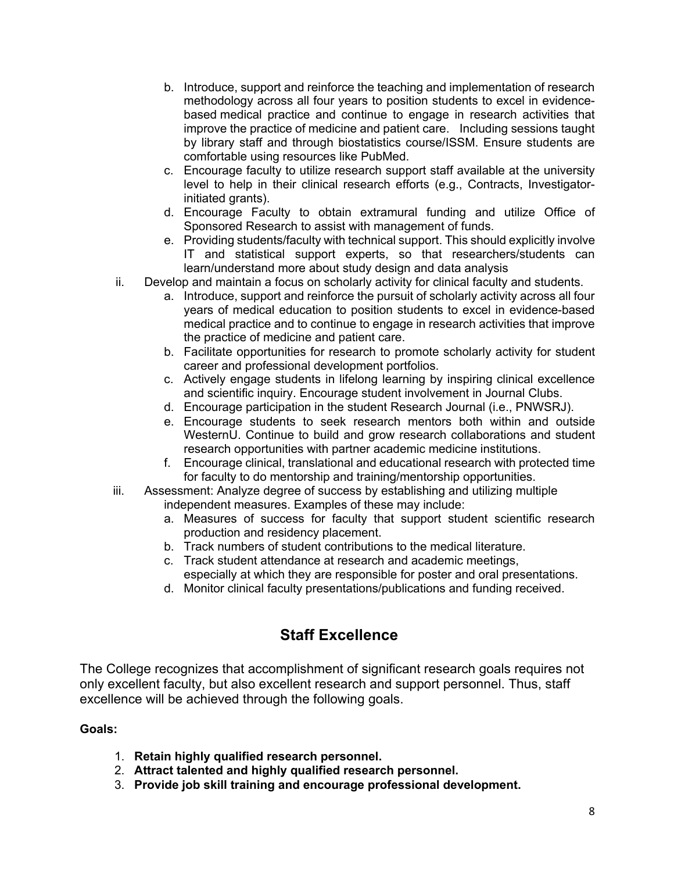- b. Introduce, support and reinforce the teaching and implementation of research methodology across all four years to position students to excel in evidencebased medical practice and continue to engage in research activities that improve the practice of medicine and patient care. Including sessions taught by library staff and through biostatistics course/ISSM. Ensure students are comfortable using resources like PubMed.
- c. Encourage faculty to utilize research support staff available at the university level to help in their clinical research efforts (e.g., Contracts, Investigatorinitiated grants).
- d. Encourage Faculty to obtain extramural funding and utilize Office of Sponsored Research to assist with management of funds.
- e. Providing students/faculty with technical support. This should explicitly involve IT and statistical support experts, so that researchers/students can learn/understand more about study design and data analysis
- ii. Develop and maintain a focus on scholarly activity for clinical faculty and students.
	- a. Introduce, support and reinforce the pursuit of scholarly activity across all four years of medical education to position students to excel in evidence-based medical practice and to continue to engage in research activities that improve the practice of medicine and patient care.
	- b. Facilitate opportunities for research to promote scholarly activity for student career and professional development portfolios.
	- c. Actively engage students in lifelong learning by inspiring clinical excellence and scientific inquiry. Encourage student involvement in Journal Clubs.
	- d. Encourage participation in the student Research Journal (i.e., PNWSRJ).
	- e. Encourage students to seek research mentors both within and outside WesternU. Continue to build and grow research collaborations and student research opportunities with partner academic medicine institutions.
	- f. Encourage clinical, translational and educational research with protected time for faculty to do mentorship and training/mentorship opportunities.
- iii. Assessment: Analyze degree of success by establishing and utilizing multiple independent measures. Examples of these may include:
	- a. Measures of success for faculty that support student scientific research production and residency placement.
	- b. Track numbers of student contributions to the medical literature.
	- c. Track student attendance at research and academic meetings, especially at which they are responsible for poster and oral presentations.
	- d. Monitor clinical faculty presentations/publications and funding received.

## **Staff Excellence**

The College recognizes that accomplishment of significant research goals requires not only excellent faculty, but also excellent research and support personnel. Thus, staff excellence will be achieved through the following goals.

## **Goals:**

- 1. **Retain highly qualified research personnel.**
- 2. **Attract talented and highly qualified research personnel.**
- 3. **Provide job skill training and encourage professional development.**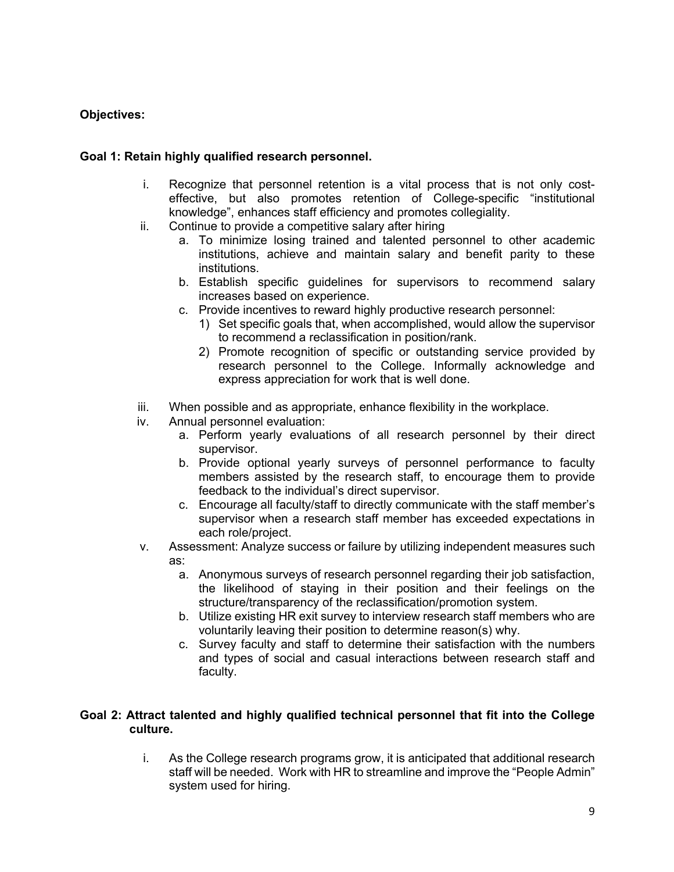## **Objectives:**

## **Goal 1: Retain highly qualified research personnel.**

- i. Recognize that personnel retention is a vital process that is not only costeffective, but also promotes retention of College-specific "institutional knowledge", enhances staff efficiency and promotes collegiality.
- ii. Continue to provide a competitive salary after hiring
	- a. To minimize losing trained and talented personnel to other academic institutions, achieve and maintain salary and benefit parity to these institutions.
	- b. Establish specific guidelines for supervisors to recommend salary increases based on experience.
	- c. Provide incentives to reward highly productive research personnel:
		- 1) Set specific goals that, when accomplished, would allow the supervisor to recommend a reclassification in position/rank.
		- 2) Promote recognition of specific or outstanding service provided by research personnel to the College. Informally acknowledge and express appreciation for work that is well done.
- iii. When possible and as appropriate, enhance flexibility in the workplace.
- iv. Annual personnel evaluation:
	- a. Perform yearly evaluations of all research personnel by their direct supervisor.
	- b. Provide optional yearly surveys of personnel performance to faculty members assisted by the research staff, to encourage them to provide feedback to the individual's direct supervisor.
	- c. Encourage all faculty/staff to directly communicate with the staff member's supervisor when a research staff member has exceeded expectations in each role/project.
- v. Assessment: Analyze success or failure by utilizing independent measures such as:
	- a. Anonymous surveys of research personnel regarding their job satisfaction, the likelihood of staying in their position and their feelings on the structure/transparency of the reclassification/promotion system.
	- b. Utilize existing HR exit survey to interview research staff members who are voluntarily leaving their position to determine reason(s) why.
	- c. Survey faculty and staff to determine their satisfaction with the numbers and types of social and casual interactions between research staff and faculty.

## **Goal 2: Attract talented and highly qualified technical personnel that fit into the College culture.**

i. As the College research programs grow, it is anticipated that additional research staff will be needed. Work with HR to streamline and improve the "People Admin" system used for hiring.